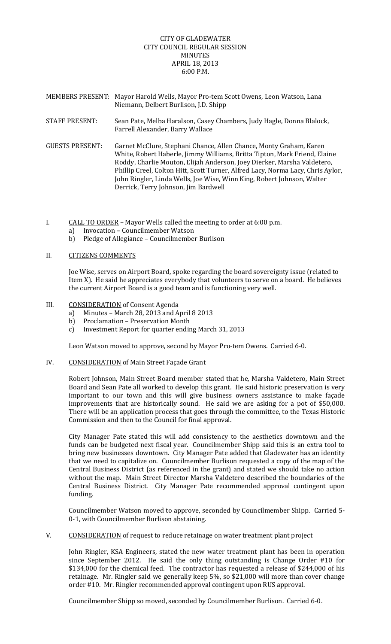## CITY OF GLADEWATER CITY COUNCIL REGULAR SESSION MINUTES APRIL 18, 2013 6:00 P.M.

- MEMBERS PRESENT: Mayor Harold Wells, Mayor Pro‐tem Scott Owens, Leon Watson, Lana Niemann, Delbert Burlison, J.D. Shipp
- STAFF PRESENT: Sean Pate, Melba Haralson, Casey Chambers, Judy Hagle, Donna Blalock, Farrell Alexander, Barry Wallace
- GUESTS PRESENT: Garnet McClure, Stephani Chance, Allen Chance, Monty Graham, Karen White, Robert Haberle, Jimmy Williams, Britta Tipton, Mark Friend, Elaine Roddy, Charlie Mouton, Elijah Anderson, Joey Dierker, Marsha Valdetero, Phillip Creel, Colton Hitt, Scott Turner, Alfred Lacy, Norma Lacy, Chris Aylor, John Ringler, Linda Wells, Joe Wise, Winn King, Robert Johnson, Walter Derrick, Terry Johnson, Jim Bardwell
- I. CALL TO ORDER Mayor Wells called the meeting to order at 6:00 p.m.
	- a) Invocation Councilmember Watson
	- b) Pledge of Allegiance Councilmember Burlison

## II. CITIZENS COMMENTS

Joe Wise, serves on Airport Board, spoke regarding the board sovereignty issue (related to Item X). He said he appreciates everybody that volunteers to serve on a board. He believes the current Airport Board is a good team and is functioning very well.

## III. CONSIDERATION of Consent Agenda

- a) Minutes March 28, 2013 and April 8 2013
- b) Proclamation Preservation Month
- c) Investment Report for quarter ending March 31, 2013

Leon Watson moved to approve, second by Mayor Pro‐tem Owens. Carried 6‐0.

IV. CONSIDERATION of Main Street Façade Grant

Robert Johnson, Main Street Board member stated that he, Marsha Valdetero, Main Street Board and Sean Pate all worked to develop this grant. He said historic preservation is very important to our town and this will give business owners assistance to make façade improvements that are historically sound. He said we are asking for a pot of \$50,000. There will be an application process that goes through the committee, to the Texas Historic Commission and then to the Council for final approval.

City Manager Pate stated this will add consistency to the aesthetics downtown and the funds can be budgeted next fiscal year. Councilmember Shipp said this is an extra tool to bring new businesses downtown. City Manager Pate added that Gladewater has an identity that we need to capitalize on. Councilmember Burlison requested a copy of the map of the Central Business District (as referenced in the grant) and stated we should take no action without the map. Main Street Director Marsha Valdetero described the boundaries of the Central Business District. City Manager Pate recommended approval contingent upon funding.

Councilmember Watson moved to approve, seconded by Councilmember Shipp. Carried 5‐ 0‐1, with Councilmember Burlison abstaining.

V. CONSIDERATION of request to reduce retainage on water treatment plant project

John Ringler, KSA Engineers, stated the new water treatment plant has been in operation since September 2012. He said the only thing outstanding is Change Order #10 for \$134,000 for the chemical feed. The contractor has requested a release of \$244,000 of his retainage. Mr. Ringler said we generally keep 5%, so \$21,000 will more than cover change order #10. Mr. Ringler recommended approval contingent upon RUS approval.

Councilmember Shipp so moved, seconded by Councilmember Burlison. Carried 6‐0.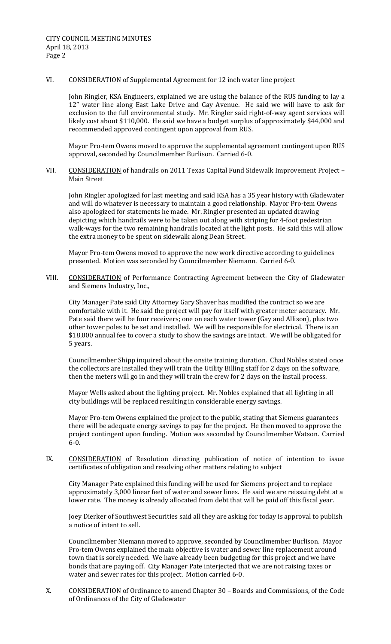VI. CONSIDERATION of Supplemental Agreement for 12 inch water line project

John Ringler, KSA Engineers, explained we are using the balance of the RUS funding to lay a 12" water line along East Lake Drive and Gay Avenue. He said we will have to ask for exclusion to the full environmental study. Mr. Ringler said right‐of‐way agent services will likely cost about \$110,000. He said we have a budget surplus of approximately \$44,000 and recommended approved contingent upon approval from RUS.

Mayor Pro-tem Owens moved to approve the supplemental agreement contingent upon RUS approval, seconded by Councilmember Burlison. Carried 6‐0.

VII. CONSIDERATION of handrails on 2011 Texas Capital Fund Sidewalk Improvement Project -Main Street

John Ringler apologized for last meeting and said KSA has a 35 year history with Gladewater and will do whatever is necessary to maintain a good relationship. Mayor Pro‐tem Owens also apologized for statements he made. Mr. Ringler presented an updated drawing depicting which handrails were to be taken out along with striping for 4‐foot pedestrian walk-ways for the two remaining handrails located at the light posts. He said this will allow the extra money to be spent on sidewalk along Dean Street.

Mayor Pro-tem Owens moved to approve the new work directive according to guidelines presented. Motion was seconded by Councilmember Niemann. Carried 6‐0.

VIII. CONSIDERATION of Performance Contracting Agreement between the City of Gladewater and Siemens Industry, Inc.,

City Manager Pate said City Attorney Gary Shaver has modified the contract so we are comfortable with it. He said the project will pay for itself with greater meter accuracy. Mr. Pate said there will be four receivers; one on each water tower (Gay and Allison), plus two other tower poles to be set and installed. We will be responsible for electrical. There is an \$18,000 annual fee to cover a study to show the savings are intact. We will be obligated for 5 years.

Councilmember Shipp inquired about the onsite training duration. Chad Nobles stated once the collectors are installed they will train the Utility Billing staff for 2 days on the software, then the meters will go in and they will train the crew for 2 days on the install process.

Mayor Wells asked about the lighting project. Mr. Nobles explained that all lighting in all city buildings will be replaced resulting in considerable energy savings.

Mayor Pro-tem Owens explained the project to the public, stating that Siemens guarantees there will be adequate energy savings to pay for the project. He then moved to approve the project contingent upon funding. Motion was seconded by Councilmember Watson. Carried  $6 - 0.$ 

IX. CONSIDERATION of Resolution directing publication of notice of intention to issue certificates of obligation and resolving other matters relating to subject

City Manager Pate explained this funding will be used for Siemens project and to replace approximately 3,000 linear feet of water and sewer lines. He said we are reissuing debt at a lower rate. The money is already allocated from debt that will be paid off this fiscal year.

Joey Dierker of Southwest Securities said all they are asking for today is approval to publish a notice of intent to sell.

Councilmember Niemann moved to approve, seconded by Councilmember Burlison. Mayor Pro‐tem Owens explained the main objective is water and sewer line replacement around town that is sorely needed. We have already been budgeting for this project and we have bonds that are paying off. City Manager Pate interjected that we are not raising taxes or water and sewer rates for this project. Motion carried 6‐0.

X. CONSIDERATION of Ordinance to amend Chapter 30 – Boards and Commissions, of the Code of Ordinances of the City of Gladewater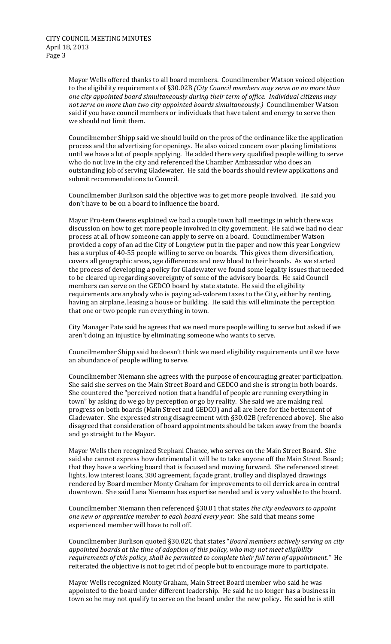Mayor Wells offered thanks to all board members. Councilmember Watson voiced objection to the eligibility requirements of §30.02B *(City Council members may serve on no more than one city appointed board simultaneously during their term of office. Individual citizens may not serve on more than two city appointed boards simultaneously.)* Councilmember Watson said if you have council members or individuals that have talent and energy to serve then we should not limit them.

Councilmember Shipp said we should build on the pros of the ordinance like the application process and the advertising for openings. He also voiced concern over placing limitations until we have a lot of people applying. He added there very qualified people willing to serve who do not live in the city and referenced the Chamber Ambassador who does an outstanding job of serving Gladewater. He said the boards should review applications and submit recommendations to Council.

Councilmember Burlison said the objective was to get more people involved. He said you don't have to be on a board to influence the board.

Mayor Pro‐tem Owens explained we had a couple town hall meetings in which there was discussion on how to get more people involved in city government. He said we had no clear process at all of how someone can apply to serve on a board. Councilmember Watson provided a copy of an ad the City of Longview put in the paper and now this year Longview has a surplus of 40‐55 people willing to serve on boards. This gives them diversification, covers all geographic areas, age differences and new blood to their boards. As we started the process of developing a policy for Gladewater we found some legality issues that needed to be cleared up regarding sovereignty of some of the advisory boards. He said Council members can serve on the GEDCO board by state statute. He said the eligibility requirements are anybody who is paying ad‐valorem taxes to the City, either by renting, having an airplane, leasing a house or building. He said this will eliminate the perception that one or two people run everything in town.

City Manager Pate said he agrees that we need more people willing to serve but asked if we aren't doing an injustice by eliminating someone who wants to serve.

Councilmember Shipp said he doesn't think we need eligibility requirements until we have an abundance of people willing to serve.

Councilmember Niemann she agrees with the purpose of encouraging greater participation. She said she serves on the Main Street Board and GEDCO and she is strong in both boards. She countered the "perceived notion that a handful of people are running everything in town" by asking do we go by perception or go by reality. She said we are making real progress on both boards (Main Street and GEDCO) and all are here for the betterment of Gladewater. She expressed strong disagreement with §30.02B (referenced above). She also disagreed that consideration of board appointments should be taken away from the boards and go straight to the Mayor.

Mayor Wells then recognized Stephani Chance, who serves on the Main Street Board. She said she cannot express how detrimental it will be to take anyone off the Main Street Board; that they have a working board that is focused and moving forward. She referenced street lights, low interest loans, 380 agreement, façade grant, trolley and displayed drawings rendered by Board member Monty Graham for improvements to oil derrick area in central downtown. She said Lana Niemann has expertise needed and is very valuable to the board.

Councilmember Niemann then referenced §30.01 that states *the city endeavors to appoint one new or apprentice member to each board every year.* She said that means some experienced member will have to roll off.

Councilmember Burlison quoted §30.02C that states "*Board members actively serving on city appointed boards at the time of adoption of this policy, who may not meet eligibility requirements of this policy, shall be permitted to complete their full term of appointment."* He reiterated the objective is not to get rid of people but to encourage more to participate.

Mayor Wells recognized Monty Graham, Main Street Board member who said he was appointed to the board under different leadership. He said he no longer has a business in town so he may not qualify to serve on the board under the new policy. He said he is still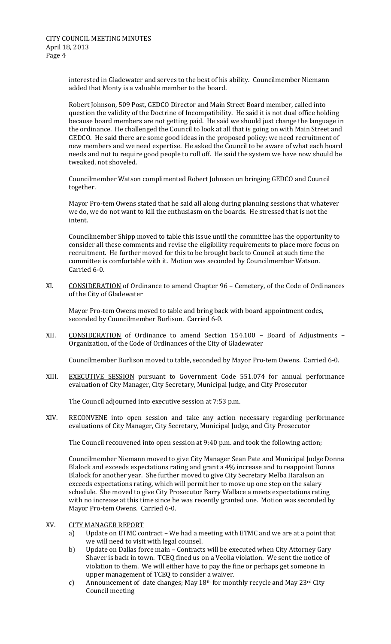interested in Gladewater and serves to the best of his ability. Councilmember Niemann added that Monty is a valuable member to the board.

Robert Johnson, 509 Post, GEDCO Director and Main Street Board member, called into question the validity of the Doctrine of Incompatibility. He said it is not dual office holding because board members are not getting paid. He said we should just change the language in the ordinance. He challenged the Council to look at all that is going on with Main Street and GEDCO. He said there are some good ideas in the proposed policy; we need recruitment of new members and we need expertise. He asked the Council to be aware of what each board needs and not to require good people to roll off. He said the system we have now should be tweaked, not shoveled.

Councilmember Watson complimented Robert Johnson on bringing GEDCO and Council together.

Mayor Pro-tem Owens stated that he said all along during planning sessions that whatever we do, we do not want to kill the enthusiasm on the boards. He stressed that is not the intent.

Councilmember Shipp moved to table this issue until the committee has the opportunity to consider all these comments and revise the eligibility requirements to place more focus on recruitment. He further moved for this to be brought back to Council at such time the committee is comfortable with it. Motion was seconded by Councilmember Watson. Carried 6‐0.

XI. CONSIDERATION of Ordinance to amend Chapter 96 – Cemetery, of the Code of Ordinances of the City of Gladewater

Mayor Pro-tem Owens moved to table and bring back with board appointment codes, seconded by Councilmember Burlison. Carried 6‐0.

XII. CONSIDERATION of Ordinance to amend Section 154.100 – Board of Adjustments – Organization, of the Code of Ordinances of the City of Gladewater

Councilmember Burlison moved to table, seconded by Mayor Pro‐tem Owens. Carried 6‐0.

XIII. EXECUTIVE SESSION pursuant to Government Code 551.074 for annual performance evaluation of City Manager, City Secretary, Municipal Judge, and City Prosecutor

The Council adjourned into executive session at 7:53 p.m.

XIV. RECONVENE into open session and take any action necessary regarding performance evaluations of City Manager, City Secretary, Municipal Judge, and City Prosecutor

The Council reconvened into open session at 9:40 p.m. and took the following action;

Councilmember Niemann moved to give City Manager Sean Pate and Municipal Judge Donna Blalock and exceeds expectations rating and grant a 4% increase and to reappoint Donna Blalock for another year. She further moved to give City Secretary Melba Haralson an exceeds expectations rating, which will permit her to move up one step on the salary schedule. She moved to give City Prosecutor Barry Wallace a meets expectations rating with no increase at this time since he was recently granted one. Motion was seconded by Mayor Pro‐tem Owens. Carried 6‐0.

- XV. CITY MANAGER REPORT
	- a) Update on ETMC contract We had a meeting with ETMC and we are at a point that we will need to visit with legal counsel.
	- b) Update on Dallas force main Contracts will be executed when City Attorney Gary Shaver is back in town. TCEQ fined us on a Veolia violation. We sent the notice of violation to them. We will either have to pay the fine or perhaps get someone in upper management of TCEQ to consider a waiver.
	- c) Announcement of date changes; May 18th for monthly recycle and May 23rd City Council meeting